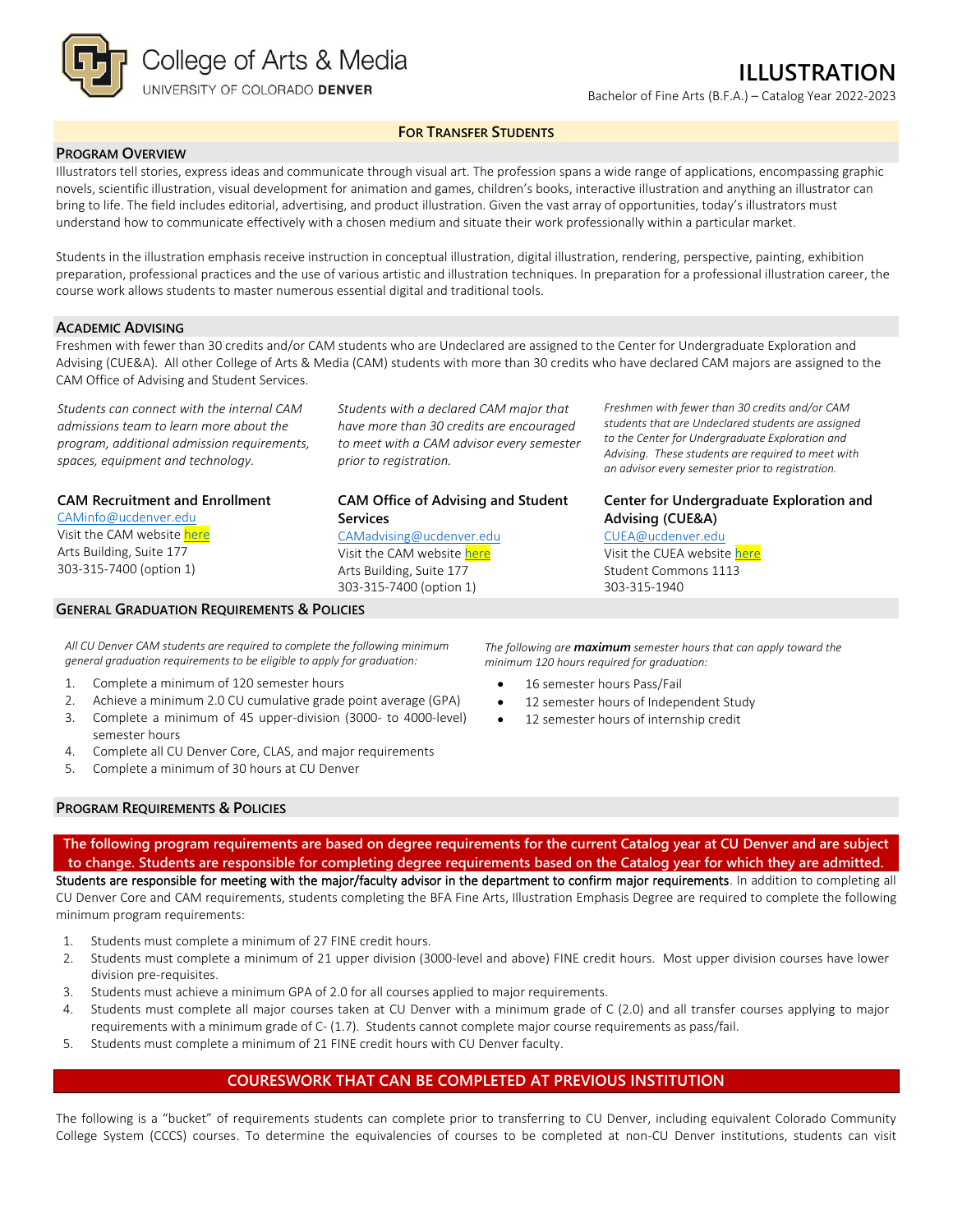

Bachelor of Fine Arts (B.F.A.) – Catalog Year 2022-2023

**FOR TRANSFER STUDENTS**

### **PROGRAM OVERVIEW**

Illustrators tell stories, express ideas and communicate through visual art. The profession spans a wide range of applications, encompassing graphic novels, scientific illustration, visual development for animation and games, children's books, interactive illustration and anything an illustrator can bring to life. The field includes editorial, advertising, and product illustration. Given the vast array of opportunities, today's illustrators must understand how to communicate effectively with a chosen medium and situate their work professionally within a particular market.

Students in the illustration emphasis receive instruction in conceptual illustration, digital illustration, rendering, perspective, painting, exhibition preparation, professional practices and the use of various artistic and illustration techniques. In preparation for a professional illustration career, the course work allows students to master numerous essential digital and traditional tools.

### **ACADEMIC ADVISING**

Freshmen with fewer than 30 credits and/or CAM students who are Undeclared are assigned to the Center for Undergraduate Exploration and Advising (CUE&A). All other College of Arts & Media (CAM) students with more than 30 credits who have declared CAM majors are assigned to the CAM Office of Advising and Student Services.

*Students can connect with the internal CAM admissions team to learn more about the program, additional admission requirements, spaces, equipment and technology.*

### **CAM Recruitment and Enrollment**

[CAMinfo@ucdenver.edu](mailto:CAMinfo@ucdenver.edu) Visit the CAM websit[e here](https://artsandmedia.ucdenver.edu/prospective-students/prospective-students) Arts Building, Suite 177 303-315-7400 (option 1)

### **GENERAL GRADUATION REQUIREMENTS & POLICIES**

*Students with a declared CAM major that have more than 30 credits are encouraged to meet with a CAM advisor every semester prior to registration.*

## **CAM Office of Advising and Student Services**

[CAMadvising@ucdenver.edu](mailto:CAMadvising@ucdenver.edu) Visit the CAM websit[e here](https://artsandmedia.ucdenver.edu/current-students/about-academic-advising) Arts Building, Suite 177 303-315-7400 (option 1)

*Freshmen with fewer than 30 credits and/or CAM students that are Undeclared students are assigned to the Center for Undergraduate Exploration and Advising. These students are required to meet with an advisor every semester prior to registration.*

**Center for Undergraduate Exploration and Advising (CUE&A)**

[CUEA@ucdenver.edu](mailto:CUEA@ucdenver.edu) Visit the CUEA websit[e here](https://www.ucdenver.edu/center-for-undergraduate-exploration-and-advising) Student Commons 1113 303-315-1940

*All CU Denver CAM students are required to complete the following minimum general graduation requirements to be eligible to apply for graduation:*

- 1. Complete a minimum of 120 semester hours
- 2. Achieve a minimum 2.0 CU cumulative grade point average (GPA)
- 3. Complete a minimum of 45 upper-division (3000- to 4000-level) semester hours
- 4. Complete all CU Denver Core, CLAS, and major requirements
- 5. Complete a minimum of 30 hours at CU Denver

*The following are maximum semester hours that can apply toward the minimum 120 hours required for graduation:*

- 16 semester hours Pass/Fail
- 12 semester hours of Independent Study
- 12 semester hours of internship credit

### **PROGRAM REQUIREMENTS & POLICIES**

**The following program requirements are based on degree requirements for the current Catalog year at CU Denver and are subject to change. Students are responsible for completing degree requirements based on the Catalog year for which they are admitted.** Students are responsible for meeting with the major/faculty advisor in the department to confirm major requirements. In addition to completing all CU Denver Core and CAM requirements, students completing the BFA Fine Arts, Illustration Emphasis Degree are required to complete the following minimum program requirements:

- 1. Students must complete a minimum of 27 FINE credit hours.
- 2. Students must complete a minimum of 21 upper division (3000-level and above) FINE credit hours. Most upper division courses have lower division pre-requisites.
- 3. Students must achieve a minimum GPA of 2.0 for all courses applied to major requirements.
- 4. Students must complete all major courses taken at CU Denver with a minimum grade of C (2.0) and all transfer courses applying to major requirements with a minimum grade of C- (1.7). Students cannot complete major course requirements as pass/fail.
- 5. Students must complete a minimum of 21 FINE credit hours with CU Denver faculty.

### **COURESWORK THAT CAN BE COMPLETED AT PREVIOUS INSTITUTION**

The following is a "bucket" of requirements students can complete prior to transferring to CU Denver, including equivalent Colorado Community College System (CCCS) courses. To determine the equivalencies of courses to be completed at non-CU Denver institutions, students can visit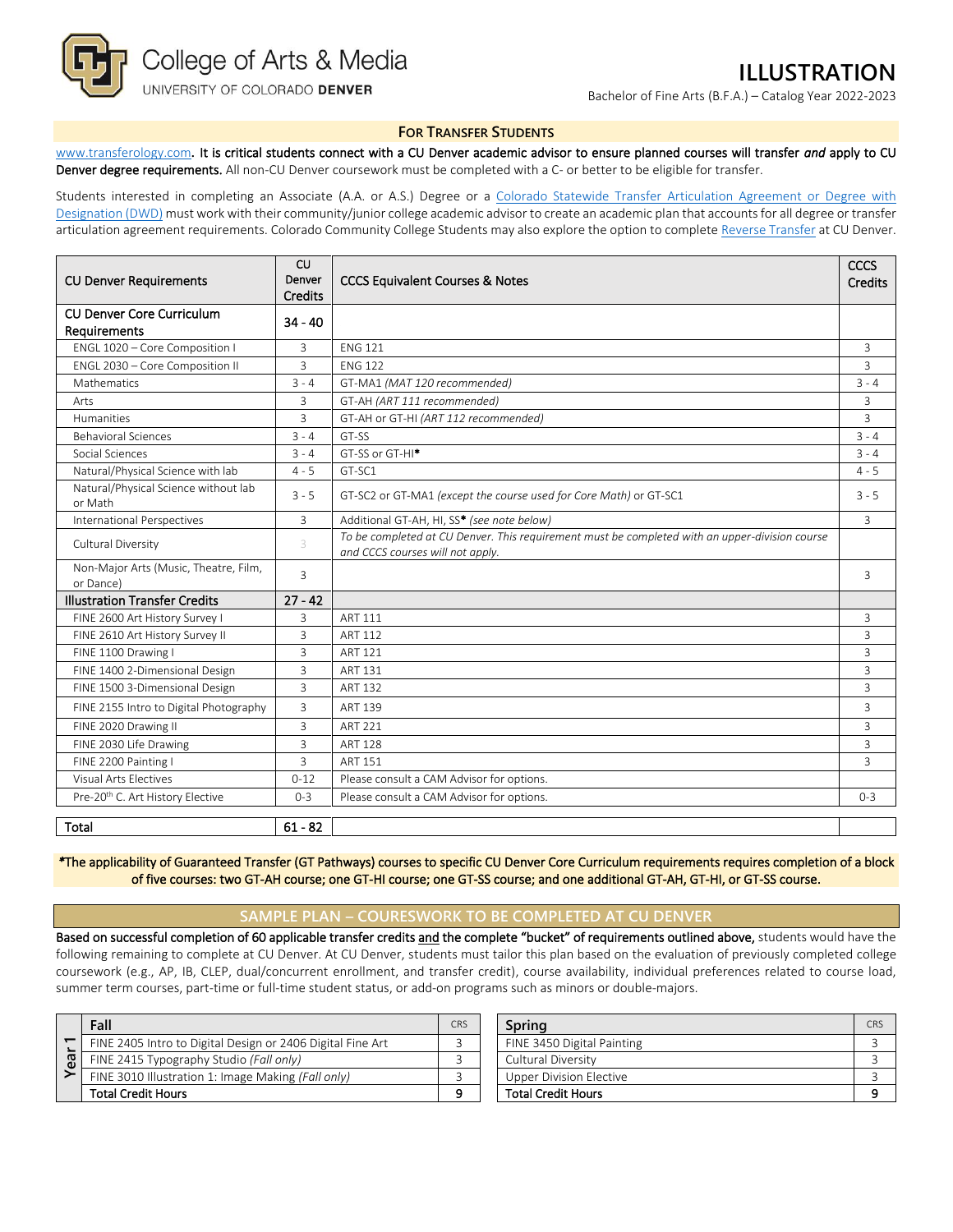

# **ILLUSTRATION**

Bachelor of Fine Arts (B.F.A.) – Catalog Year 2022-2023

#### **FOR TRANSFER STUDENTS**

[www.transferology.com](http://www.transferology.com/)**.** It is critical students connect with a CU Denver academic advisor to ensure planned courses will transfer *and* apply to CU Denver degree requirements. All non-CU Denver coursework must be completed with a C- or better to be eligible for transfer.

Students interested in completing an Associate (A.A. or A.S.) Degree or a Colorado Statewide Transfer Articulation Agreement or Degree with [Designation \(DWD\)](https://highered.colorado.gov/Academics/Transfers/TransferDegrees.html) must work with their community/junior college academic advisor to create an academic plan that accounts for all degree or transfer articulation agreement requirements. Colorado Community College Students may also explore the option to complet[e Reverse Transfer](https://degreewithinreach.wordpress.com/) at CU Denver.

| <b>CU Denver Requirements</b>                      | <b>CU</b><br>Denver<br><b>Credits</b> | <b>CCCS Equivalent Courses &amp; Notes</b>                                                                                         | CCCS<br>Credits |
|----------------------------------------------------|---------------------------------------|------------------------------------------------------------------------------------------------------------------------------------|-----------------|
| <b>CU Denver Core Curriculum</b><br>Requirements   | $34 - 40$                             |                                                                                                                                    |                 |
| ENGL 1020 - Core Composition I                     | 3                                     | <b>FNG 121</b>                                                                                                                     | 3               |
| ENGL 2030 - Core Composition II                    | 3                                     | <b>FNG 122</b>                                                                                                                     | $\overline{3}$  |
| Mathematics                                        | $3 - 4$                               | GT-MA1 (MAT 120 recommended)                                                                                                       | $3 - 4$         |
| Arts                                               | 3                                     | GT-AH (ART 111 recommended)                                                                                                        | 3               |
| Humanities                                         | 3                                     | GT-AH or GT-HI (ART 112 recommended)                                                                                               | 3               |
| <b>Behavioral Sciences</b>                         | $3 - 4$                               | GT-SS                                                                                                                              | $3 - 4$         |
| Social Sciences                                    | $3 - 4$                               | GT-SS or GT-HI <sup>*</sup>                                                                                                        | $3 - 4$         |
| Natural/Physical Science with lab                  | $4 - 5$                               | GT-SC1                                                                                                                             | $4 - 5$         |
| Natural/Physical Science without lab<br>or Math    | $3 - 5$                               | GT-SC2 or GT-MA1 (except the course used for Core Math) or GT-SC1                                                                  | $3 - 5$         |
| <b>International Perspectives</b>                  | 3                                     | Additional GT-AH, HI, SS* (see note below)                                                                                         | 3               |
| Cultural Diversity                                 | 3                                     | To be completed at CU Denver. This requirement must be completed with an upper-division course<br>and CCCS courses will not apply. |                 |
| Non-Major Arts (Music, Theatre, Film,<br>or Dance) | 3                                     |                                                                                                                                    | 3               |
| <b>Illustration Transfer Credits</b>               | $27 - 42$                             |                                                                                                                                    |                 |
| FINE 2600 Art History Survey I                     | 3                                     | ART 111                                                                                                                            | 3               |
| FINE 2610 Art History Survey II                    | 3                                     | <b>ART 112</b>                                                                                                                     | 3               |
| FINE 1100 Drawing I                                | 3                                     | <b>ART 121</b>                                                                                                                     | $\overline{3}$  |
| FINE 1400 2-Dimensional Design                     | 3                                     | ART 131                                                                                                                            | 3               |
| FINE 1500 3-Dimensional Design                     | 3                                     | <b>ART 132</b>                                                                                                                     | $\overline{3}$  |
| FINE 2155 Intro to Digital Photography             | 3                                     | <b>ART 139</b>                                                                                                                     | 3               |
| FINE 2020 Drawing II                               | 3                                     | ART 221                                                                                                                            | 3               |
| FINE 2030 Life Drawing                             | $\overline{3}$                        | <b>ART 128</b>                                                                                                                     | $\overline{3}$  |
| FINE 2200 Painting I                               | $\overline{3}$                        | <b>ART 151</b>                                                                                                                     | $\overline{3}$  |
| Visual Arts Flectives                              | $0 - 12$                              | Please consult a CAM Advisor for options.                                                                                          |                 |
| Pre-20th C. Art History Elective                   | $0 - 3$                               | Please consult a CAM Advisor for options.                                                                                          | $0 - 3$         |
| <b>Total</b>                                       | $61 - 82$                             |                                                                                                                                    |                 |

*\**The applicability of Guaranteed Transfer (GT Pathways) courses to specific CU Denver Core Curriculum requirements requires completion of a block of five courses: two GT-AH course; one GT-HI course; one GT-SS course; and one additional GT-AH, GT-HI, or GT-SS course.

### **SAMPLE PLAN – COURESWORK TO BE COMPLETED AT CU DENVER**

Based on successful completion of 60 applicable transfer credits and the complete "bucket" of requirements outlined above, students would have the following remaining to complete at CU Denver. At CU Denver, students must tailor this plan based on the evaluation of previously completed college coursework (e.g., AP, IB, CLEP, dual/concurrent enrollment, and transfer credit), course availability, individual preferences related to course load, summer term courses, part-time or full-time student status, or add-on programs such as minors or double-majors.

| ea | Fall                                                       |  |  |  |
|----|------------------------------------------------------------|--|--|--|
|    | FINE 2405 Intro to Digital Design or 2406 Digital Fine Art |  |  |  |
|    | FINE 2415 Typography Studio (Fall only)                    |  |  |  |
|    | FINE 3010 Illustration 1: Image Making (Fall only)         |  |  |  |
|    | <b>Total Credit Hours</b>                                  |  |  |  |

| Fall                                                       | <b>CRS</b> | Sprina                     | <b>CRS</b> |
|------------------------------------------------------------|------------|----------------------------|------------|
| FINE 2405 Intro to Digital Design or 2406 Digital Fine Art |            | FINE 3450 Digital Painting |            |
| FINE 2415 Typography Studio (Fall only)                    |            | Cultural Diversity         |            |
| FINE 3010 Illustration 1: Image Making (Fall only)         |            | Upper Division Elective    |            |
| Total Credit Hours                                         | $\Omega$   | <b>Total Credit Hours</b>  |            |